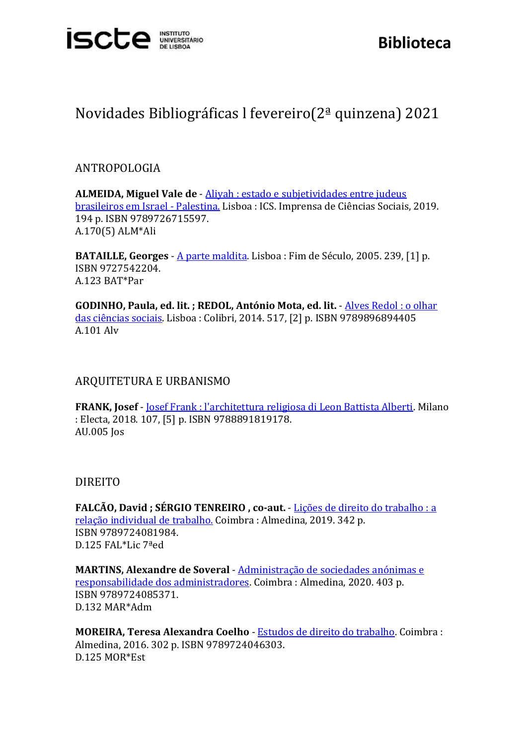

## Novidades Bibliográficas l fevereiro(2ª quinzena) 2021

## ANTROPOLOGIA

**ALMEIDA, Miguel Vale de** - [Aliyah : estado e subjetividades entre judeus](https://catalogo.biblioteca.iscte-iul.pt/cgi-bin/koha/opac-detail.pl?biblionumber=108871)  [brasileiros em Israel -](https://catalogo.biblioteca.iscte-iul.pt/cgi-bin/koha/opac-detail.pl?biblionumber=108871) Palestina. Lisboa : ICS. Imprensa de Ciências Sociais, 2019. 194 p. ISBN 9789726715597. A.170(5) ALM\*Ali

**BATAILLE, Georges** - [A parte maldita.](https://catalogo.biblioteca.iscte-iul.pt/cgi-bin/koha/opac-detail.pl?biblionumber=106919) Lisboa : Fim de Século, 2005. 239, [1] p. ISBN 9727542204. A.123 BAT\*Par

**GODINHO, Paula, ed. lit. ; REDOL, António Mota, ed. lit.** - [Alves Redol : o olhar](https://catalogo.biblioteca.iscte-iul.pt/cgi-bin/koha/opac-detail.pl?biblionumber=106930)  [das ciências sociais.](https://catalogo.biblioteca.iscte-iul.pt/cgi-bin/koha/opac-detail.pl?biblionumber=106930) Lisboa : Colibri, 2014. 517, [2] p. ISBN 9789896894405 A.101 Alv

## ARQUITETURA E URBANISMO

**FRANK, Josef** - [Josef Frank : l'architettura religiosa di Leon Battista Alberti.](https://catalogo.biblioteca.iscte-iul.pt/cgi-bin/koha/opac-detail.pl?biblionumber=108556) Milano : Electa, 2018. 107, [5] p. ISBN 9788891819178. AU.005 Jos

## DIREITO

**FALCÃO, David ; SÉRGIO TENREIRO , co-aut.** - [Lições de direito do trabalho : a](https://catalogo.biblioteca.iscte-iul.pt/cgi-bin/koha/opac-detail.pl?biblionumber=107785)  [relação individual de trabalho.](https://catalogo.biblioteca.iscte-iul.pt/cgi-bin/koha/opac-detail.pl?biblionumber=107785) Coimbra : Almedina, 2019. 342 p. ISBN 9789724081984. D.125 FAL\*Lic 7ªed

**MARTINS, Alexandre de Soveral** - [Administração de sociedades anónimas e](https://catalogo.biblioteca.iscte-iul.pt/cgi-bin/koha/opac-detail.pl?biblionumber=107787)  [responsabilidade dos administradores.](https://catalogo.biblioteca.iscte-iul.pt/cgi-bin/koha/opac-detail.pl?biblionumber=107787) Coimbra : Almedina, 2020. 403 p. ISBN 9789724085371. D.132 MAR\*Adm

**MOREIRA, Teresa Alexandra Coelho** - [Estudos de direito do trabalho.](https://catalogo.biblioteca.iscte-iul.pt/cgi-bin/koha/opac-detail.pl?biblionumber=107779) Coimbra : Almedina, 2016. 302 p. ISBN 9789724046303. D.125 MOR\*Est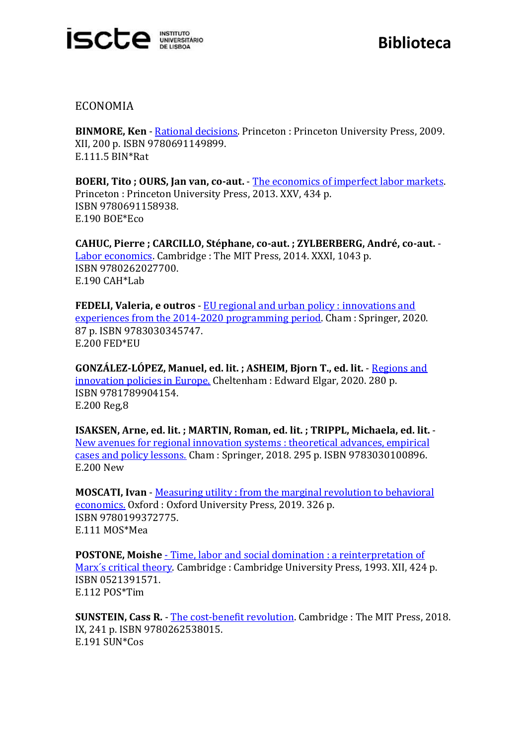

ECONOMIA

**BINMORE, Ken** - [Rational decisions.](https://catalogo.biblioteca.iscte-iul.pt/cgi-bin/koha/opac-detail.pl?biblionumber=108593) Princeton : Princeton University Press, 2009. XII, 200 p. ISBN 9780691149899. E.111.5 BIN\*Rat

**BOERI, Tito ; OURS, Jan van, co-aut.** - [The economics of imperfect labor markets.](https://catalogo.biblioteca.iscte-iul.pt/cgi-bin/koha/opac-detail.pl?biblionumber=108555)  Princeton : Princeton University Press, 2013. XXV, 434 p. ISBN 9780691158938. E.190 BOE\*Eco

**CAHUC, Pierre ; CARCILLO, Stéphane, co-aut. ; ZYLBERBERG, André, co-aut.** - [Labor economics.](https://catalogo.biblioteca.iscte-iul.pt/cgi-bin/koha/opac-detail.pl?biblionumber=108579) Cambridge : The MIT Press, 2014. XXXI, 1043 p. ISBN 9780262027700. E.190 CAH\*Lab

**FEDELI, Valeria, e outros** - [EU regional and urban policy : innovations and](https://catalogo.biblioteca.iscte-iul.pt/cgi-bin/koha/opac-detail.pl?biblionumber=108093)  [experiences from the 2014-2020 programming period.](https://catalogo.biblioteca.iscte-iul.pt/cgi-bin/koha/opac-detail.pl?biblionumber=108093) Cham : Springer, 2020. 87 p. ISBN 9783030345747. E.200 FED\*EU

**GONZÁLEZ-LÓPEZ, Manuel, ed. lit. ; ASHEIM, Bjorn T., ed. lit.** - [Regions and](https://catalogo.biblioteca.iscte-iul.pt/cgi-bin/koha/opac-detail.pl?biblionumber=108591)  [innovation policies in Europe.](https://catalogo.biblioteca.iscte-iul.pt/cgi-bin/koha/opac-detail.pl?biblionumber=108591) Cheltenham : Edward Elgar, 2020. 280 p. ISBN 9781789904154. E.200 Reg,8

**ISAKSEN, Arne, ed. lit. ; MARTIN, Roman, ed. lit. ; TRIPPL, Michaela, ed. lit.** - [New avenues for regional innovation systems : theoretical advances, empirical](https://catalogo.biblioteca.iscte-iul.pt/cgi-bin/koha/opac-detail.pl?biblionumber=108454)  [cases and policy lessons.](https://catalogo.biblioteca.iscte-iul.pt/cgi-bin/koha/opac-detail.pl?biblionumber=108454) Cham : Springer, 2018. 295 p. ISBN 9783030100896. E.200 New

**MOSCATI, Ivan** - [Measuring utility : from the marginal revolution to behavioral](https://catalogo.biblioteca.iscte-iul.pt/cgi-bin/koha/opac-detail.pl?biblionumber=108481)  [economics.](https://catalogo.biblioteca.iscte-iul.pt/cgi-bin/koha/opac-detail.pl?biblionumber=108481) Oxford : Oxford University Press, 2019. 326 p. ISBN 9780199372775. E.111 MOS\*Mea

**POSTONE, Moishe - Time, labor and social domination : a reinterpretation of** [Marx´s critical theory.](https://catalogo.biblioteca.iscte-iul.pt/cgi-bin/koha/opac-detail.pl?biblionumber=107826) Cambridge : Cambridge University Press, 1993. XII, 424 p. ISBN 0521391571. E.112 POS\*Tim

**SUNSTEIN, Cass R.** - [The cost-benefit revolution.](https://catalogo.biblioteca.iscte-iul.pt/cgi-bin/koha/opac-detail.pl?biblionumber=108431) Cambridge : The MIT Press, 2018. IX, 241 p. ISBN 9780262538015. E.191 SUN\*Cos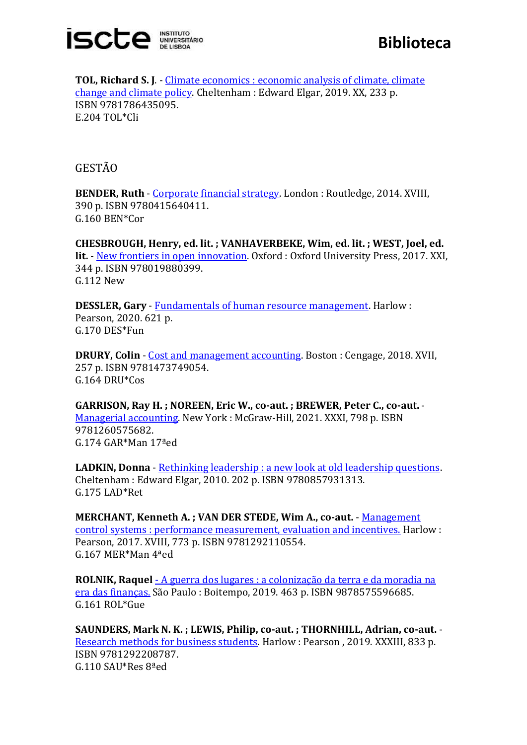

**Biblioteca**

**TOL, Richard S. J**. - [Climate economics : economic analysis of climate, climate](https://catalogo.biblioteca.iscte-iul.pt/cgi-bin/koha/opac-detail.pl?biblionumber=108475)  [change and climate policy.](https://catalogo.biblioteca.iscte-iul.pt/cgi-bin/koha/opac-detail.pl?biblionumber=108475) Cheltenham : Edward Elgar, 2019. XX, 233 p. ISBN 9781786435095. E.204 TOL\*Cli

GESTÃO

**BENDER, Ruth** - [Corporate financial strategy.](https://catalogo.biblioteca.iscte-iul.pt/cgi-bin/koha/opac-detail.pl?biblionumber=108784) London : Routledge, 2014. XVIII, 390 p. ISBN 9780415640411. G.160 BEN\*Cor

**CHESBROUGH, Henry, ed. lit. ; VANHAVERBEKE, Wim, ed. lit. ; WEST, Joel, ed. lit.** - [New frontiers in open innovation.](https://catalogo.biblioteca.iscte-iul.pt/cgi-bin/koha/opac-detail.pl?biblionumber=108480) Oxford : Oxford University Press, 2017. XXI, 344 p. ISBN 978019880399. G.112 New

**DESSLER, Gary** - [Fundamentals of human resource management.](https://catalogo.biblioteca.iscte-iul.pt/cgi-bin/koha/opac-detail.pl?biblionumber=108434) Harlow : Pearson, 2020. 621 p. G.170 DES\*Fun

**DRURY, Colin** - [Cost and management accounting.](https://catalogo.biblioteca.iscte-iul.pt/cgi-bin/koha/opac-detail.pl?biblionumber=108441) Boston : Cengage, 2018. XVII, 257 p. ISBN 9781473749054. G.164 DRU\*Cos

**GARRISON, Ray H. ; NOREEN, Eric W., co-aut. ; BREWER, Peter C., co-aut.** - [Managerial accounting.](https://catalogo.biblioteca.iscte-iul.pt/cgi-bin/koha/opac-detail.pl?biblionumber=108472) New York : McGraw-Hill, 2021. XXXI, 798 p. ISBN 9781260575682. G.174 GAR\*Man 17ªed

**LADKIN, Donna** - [Rethinking leadership : a new look at old leadership questions.](https://catalogo.biblioteca.iscte-iul.pt/cgi-bin/koha/opac-detail.pl?biblionumber=108844) Cheltenham : Edward Elgar, 2010. 202 p. ISBN 9780857931313. G.175 LAD\*Ret

**MERCHANT, Kenneth A. ; VAN DER STEDE, Wim A., co-aut.** - [Management](https://catalogo.biblioteca.iscte-iul.pt/cgi-bin/koha/opac-detail.pl?biblionumber=108461)  [control systems : performance measurement, evaluation and incentives.](https://catalogo.biblioteca.iscte-iul.pt/cgi-bin/koha/opac-detail.pl?biblionumber=108461) Harlow : Pearson, 2017. XVIII, 773 p. ISBN 9781292110554. G.167 MER\*Man 4ªed

**ROLNIK, Raquel** - [A guerra dos lugares : a colonização da terra e da moradia na](https://catalogo.biblioteca.iscte-iul.pt/cgi-bin/koha/opac-detail.pl?biblionumber=108841)  [era das finanças.](https://catalogo.biblioteca.iscte-iul.pt/cgi-bin/koha/opac-detail.pl?biblionumber=108841) São Paulo : Boitempo, 2019. 463 p. ISBN 9878575596685. G.161 ROL\*Gue

**SAUNDERS, Mark N. K. ; LEWIS, Philip, co-aut. ; THORNHILL, Adrian, co-aut.** - [Research methods for business students.](https://catalogo.biblioteca.iscte-iul.pt/cgi-bin/koha/opac-detail.pl?biblionumber=108444) Harlow : Pearson , 2019. XXXIII, 833 p. ISBN 9781292208787. G.110 SAU\*Res 8ªed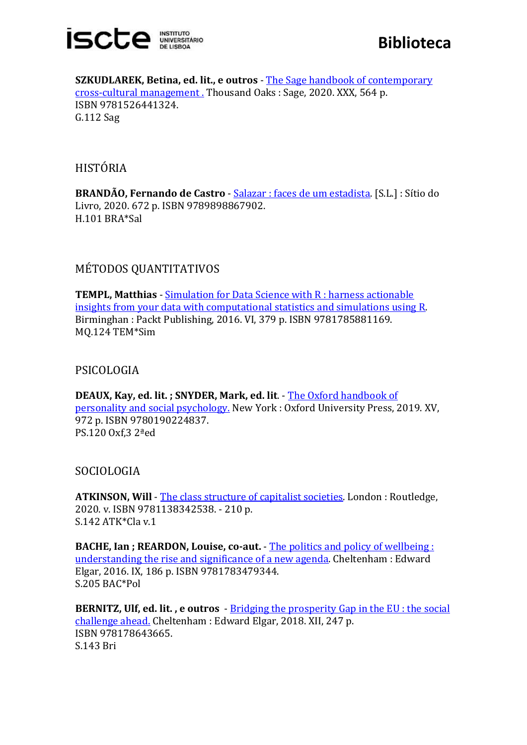

**SZKUDLAREK, Betina, ed. lit., e outros** - [The Sage handbook of contemporary](https://catalogo.biblioteca.iscte-iul.pt/cgi-bin/koha/opac-detail.pl?biblionumber=108198)  [cross-cultural management .](https://catalogo.biblioteca.iscte-iul.pt/cgi-bin/koha/opac-detail.pl?biblionumber=108198) Thousand Oaks : Sage, 2020. XXX, 564 p. ISBN 9781526441324. G.112 Sag

HISTÓRIA

**BRANDÃO, Fernando de Castro** - [Salazar : faces de um estadista.](https://catalogo.biblioteca.iscte-iul.pt/cgi-bin/koha/opac-detail.pl?biblionumber=107831) [S.L.] : Sítio do Livro, 2020. 672 p. ISBN 9789898867902. H.101 BRA\*Sal

MÉTODOS QUANTITATIVOS

**TEMPL, Matthias** - [Simulation for Data Science with R : harness actionable](https://catalogo.biblioteca.iscte-iul.pt/cgi-bin/koha/opac-detail.pl?biblionumber=108026)  [insights from your data with computational statistics and simulations using R.](https://catalogo.biblioteca.iscte-iul.pt/cgi-bin/koha/opac-detail.pl?biblionumber=108026) Birminghan : Packt Publishing, 2016. VI, 379 p. ISBN 9781785881169. MQ.124 TEM\*Sim

PSICOLOGIA

**DEAUX, Kay, ed. lit. ; SNYDER, Mark, ed. lit**. - [The Oxford handbook of](https://catalogo.biblioteca.iscte-iul.pt/cgi-bin/koha/opac-detail.pl?biblionumber=108582)  [personality and social psychology.](https://catalogo.biblioteca.iscte-iul.pt/cgi-bin/koha/opac-detail.pl?biblionumber=108582) New York : Oxford University Press, 2019. XV, 972 p. ISBN 9780190224837. PS.120 Oxf,3 2ªed

SOCIOLOGIA

**ATKINSON, Will** - [The class structure of capitalist societies.](https://catalogo.biblioteca.iscte-iul.pt/cgi-bin/koha/opac-detail.pl?biblionumber=108205) London : Routledge, 2020. v. ISBN 9781138342538. - 210 p. S.142 ATK\*Cla v.1

**BACHE, Ian ; REARDON, Louise, co-aut.** - [The politics and policy of wellbeing :](https://catalogo.biblioteca.iscte-iul.pt/cgi-bin/koha/opac-detail.pl?biblionumber=108565)  [understanding the rise and significance of a new agenda.](https://catalogo.biblioteca.iscte-iul.pt/cgi-bin/koha/opac-detail.pl?biblionumber=108565) Cheltenham : Edward Elgar, 2016. IX, 186 p. ISBN 9781783479344. S.205 BAC\*Pol

**BERNITZ, Ulf, ed. lit. , e outros** - [Bridging the prosperity Gap in the EU : the social](https://catalogo.biblioteca.iscte-iul.pt/cgi-bin/koha/opac-detail.pl?biblionumber=108474)  [challenge ahead.](https://catalogo.biblioteca.iscte-iul.pt/cgi-bin/koha/opac-detail.pl?biblionumber=108474) Cheltenham : Edward Elgar, 2018. XII, 247 p. ISBN 978178643665. S.143 Bri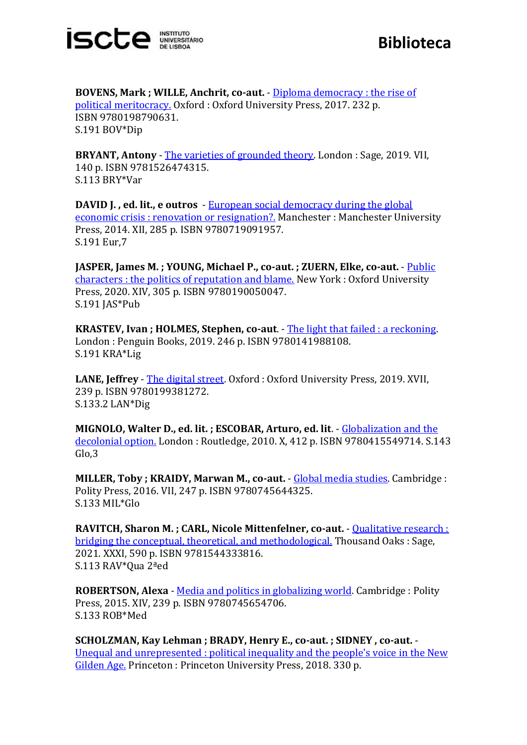

**BOVENS, Mark ; WILLE, Anchrit, co-aut.** - [Diploma democracy : the rise of](https://catalogo.biblioteca.iscte-iul.pt/cgi-bin/koha/opac-detail.pl?biblionumber=108478)  [political meritocracy.](https://catalogo.biblioteca.iscte-iul.pt/cgi-bin/koha/opac-detail.pl?biblionumber=108478) Oxford : Oxford University Press, 2017. 232 p. ISBN 9780198790631. S.191 BOV\*Dip

**BRYANT, Antony** - [The varieties of grounded theory.](https://catalogo.biblioteca.iscte-iul.pt/cgi-bin/koha/opac-detail.pl?biblionumber=108448) London : Sage, 2019. VII, 140 p. ISBN 9781526474315. S.113 BRY\*Var

**DAVID J. , ed. lit., e outros** - [European social democracy during the global](https://catalogo.biblioteca.iscte-iul.pt/cgi-bin/koha/opac-detail.pl?biblionumber=108569)  [economic crisis : renovation or resignation?.](https://catalogo.biblioteca.iscte-iul.pt/cgi-bin/koha/opac-detail.pl?biblionumber=108569) Manchester : Manchester University Press, 2014. XII, 285 p. ISBN 9780719091957. S.191 Eur,7

**JASPER, James M. ; YOUNG, Michael P., co-aut. ; ZUERN, Elke, co-aut.** - [Public](https://catalogo.biblioteca.iscte-iul.pt/cgi-bin/koha/opac-detail.pl?biblionumber=108477)  [characters : the politics of reputation and blame.](https://catalogo.biblioteca.iscte-iul.pt/cgi-bin/koha/opac-detail.pl?biblionumber=108477) New York : Oxford University Press, 2020. XIV, 305 p. ISBN 9780190050047. S.191 JAS\*Pub

**KRASTEV, Ivan ; HOLMES, Stephen, co-aut**. - [The light that failed : a reckoning.](https://catalogo.biblioteca.iscte-iul.pt/cgi-bin/koha/opac-detail.pl?biblionumber=108562) London : Penguin Books, 2019. 246 p. ISBN 9780141988108. S.191 KRA\*Lig

**LANE, Jeffrey** - [The digital street.](https://catalogo.biblioteca.iscte-iul.pt/cgi-bin/koha/opac-detail.pl?biblionumber=108473) Oxford : Oxford University Press, 2019. XVII, 239 p. ISBN 9780199381272. S.133.2 LAN\*Dig

**MIGNOLO, Walter D., ed. lit. ; ESCOBAR, Arturo, ed. lit**. - [Globalization and the](https://catalogo.biblioteca.iscte-iul.pt/cgi-bin/koha/opac-detail.pl?biblionumber=108194)  [decolonial option.](https://catalogo.biblioteca.iscte-iul.pt/cgi-bin/koha/opac-detail.pl?biblionumber=108194) London : Routledge, 2010. X, 412 p. ISBN 9780415549714. S.143 Glo,3

**MILLER, Toby ; KRAIDY, Marwan M., co-aut.** - [Global media studies.](https://catalogo.biblioteca.iscte-iul.pt/cgi-bin/koha/opac-detail.pl?biblionumber=108508) Cambridge : Polity Press, 2016. VII, 247 p. ISBN 9780745644325. S.133 MIL\*Glo

**RAVITCH, Sharon M. ; CARL, Nicole Mittenfelner, co-aut.** - [Qualitative research :](https://catalogo.biblioteca.iscte-iul.pt/cgi-bin/koha/opac-detail.pl?biblionumber=108463)  [bridging the conceptual, theoretical, and methodological.](https://catalogo.biblioteca.iscte-iul.pt/cgi-bin/koha/opac-detail.pl?biblionumber=108463) Thousand Oaks : Sage, 2021. XXXI, 590 p. ISBN 9781544333816. S.113 RAV\*Qua 2ªed

**ROBERTSON, Alexa** - [Media and politics in globalizing world.](https://catalogo.biblioteca.iscte-iul.pt/cgi-bin/koha/opac-detail.pl?biblionumber=108511) Cambridge: Polity Press, 2015. XIV, 239 p. ISBN 9780745654706. S.133 ROB\*Med

**SCHOLZMAN, Kay Lehman ; BRADY, Henry E., co-aut. ; SIDNEY , co-aut.** - [Unequal and unrepresented : political inequality and the people's voice](https://catalogo.biblioteca.iscte-iul.pt/cgi-bin/koha/opac-detail.pl?biblionumber=108476) in the New [Gilden Age.](https://catalogo.biblioteca.iscte-iul.pt/cgi-bin/koha/opac-detail.pl?biblionumber=108476) Princeton : Princeton University Press, 2018. 330 p.